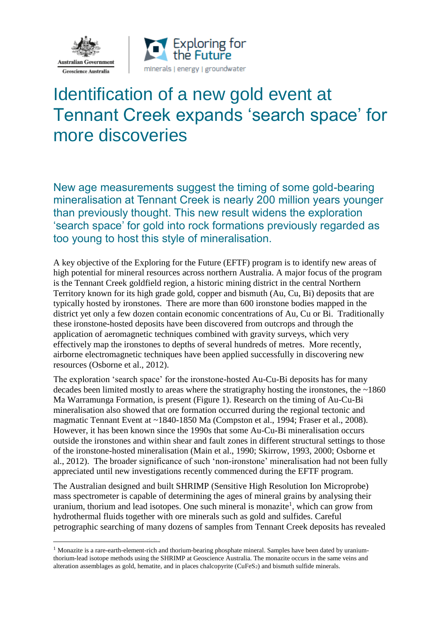

1



## Identification of a new gold event at Tennant Creek expands 'search space' for more discoveries

New age measurements suggest the timing of some gold-bearing mineralisation at Tennant Creek is nearly 200 million years younger than previously thought. This new result widens the exploration 'search space' for gold into rock formations previously regarded as too young to host this style of mineralisation.

A key objective of the Exploring for the Future (EFTF) program is to identify new areas of high potential for mineral resources across northern Australia. A major focus of the program is the Tennant Creek goldfield region, a historic mining district in the central Northern Territory known for its high grade gold, copper and bismuth (Au, Cu, Bi) deposits that are typically hosted by ironstones. There are more than 600 ironstone bodies mapped in the district yet only a few dozen contain economic concentrations of Au, Cu or Bi. Traditionally these ironstone-hosted deposits have been discovered from outcrops and through the application of aeromagnetic techniques combined with gravity surveys, which very effectively map the ironstones to depths of several hundreds of metres. More recently, airborne electromagnetic techniques have been applied successfully in discovering new resources (Osborne et al., 2012).

The exploration 'search space' for the ironstone-hosted Au-Cu-Bi deposits has for many decades been limited mostly to areas where the stratigraphy hosting the ironstones, the ~1860 Ma Warramunga Formation, is present (Figure 1). Research on the timing of Au-Cu-Bi mineralisation also showed that ore formation occurred during the regional tectonic and magmatic Tennant Event at ~1840-1850 Ma (Compston et al., 1994; Fraser et al., 2008). However, it has been known since the 1990s that some Au-Cu-Bi mineralisation occurs outside the ironstones and within shear and fault zones in different structural settings to those of the ironstone-hosted mineralisation (Main et al., 1990; Skirrow, 1993, 2000; Osborne et al., 2012). The broader significance of such 'non-ironstone' mineralisation had not been fully appreciated until new investigations recently commenced during the EFTF program.

The Australian designed and built SHRIMP (Sensitive High Resolution Ion Microprobe) mass spectrometer is capable of determining the ages of mineral grains by analysing their uranium, thorium and lead isotopes. One such mineral is monazite<sup>1</sup>, which can grow from hydrothermal fluids together with ore minerals such as gold and sulfides. Careful petrographic searching of many dozens of samples from Tennant Creek deposits has revealed

<sup>&</sup>lt;sup>1</sup> Monazite is a rare-earth-element-rich and thorium-bearing phosphate mineral. Samples have been dated by uraniumthorium-lead isotope methods using the SHRIMP at Geoscience Australia. The monazite occurs in the same veins and alteration assemblages as gold, hematite, and in places chalcopyrite (CuFeS<sub>2</sub>) and bismuth sulfide minerals.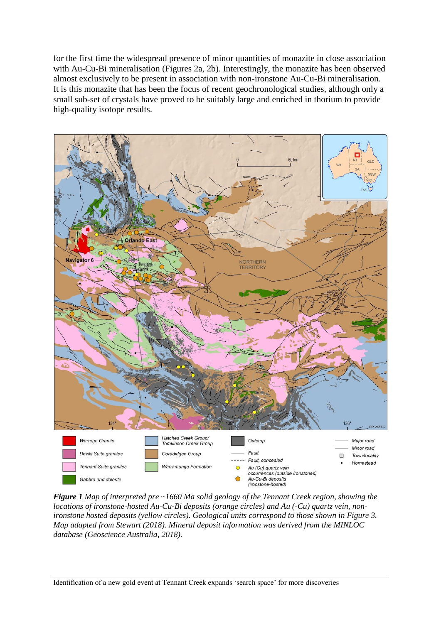for the first time the widespread presence of minor quantities of monazite in close association with Au-Cu-Bi mineralisation (Figures 2a, 2b). Interestingly, the monazite has been observed almost exclusively to be present in association with non-ironstone Au-Cu-Bi mineralisation. It is this monazite that has been the focus of recent geochronological studies, although only a small sub-set of crystals have proved to be suitably large and enriched in thorium to provide high-quality isotope results.



*Figure 1 Map of interpreted pre ~1660 Ma solid geology of the Tennant Creek region, showing the locations of ironstone-hosted Au-Cu-Bi deposits (orange circles) and Au (-Cu) quartz vein, nonironstone hosted deposits (yellow circles). Geological units correspond to those shown in Figure 3. Map adapted from Stewart (2018). Mineral deposit information was derived from the MINLOC database (Geoscience Australia, 2018).*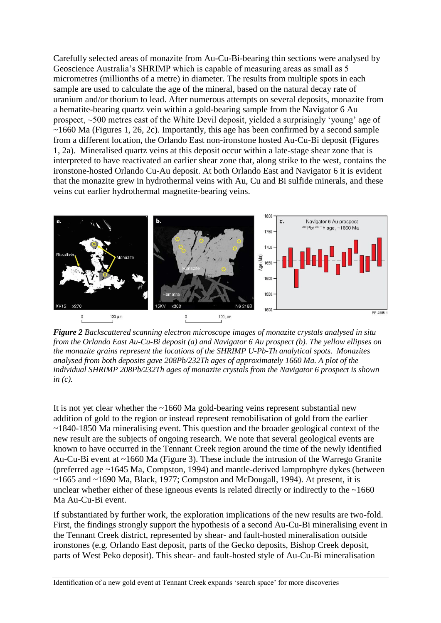Carefully selected areas of monazite from Au-Cu-Bi-bearing thin sections were analysed by Geoscience Australia's SHRIMP which is capable of measuring areas as small as 5 micrometres (millionths of a metre) in diameter. The results from multiple spots in each sample are used to calculate the age of the mineral, based on the natural decay rate of uranium and/or thorium to lead. After numerous attempts on several deposits, monazite from a hematite-bearing quartz vein within a gold-bearing sample from the Navigator 6 Au prospect, ~500 metres east of the White Devil deposit, yielded a surprisingly 'young' age of  $\sim$ 1660 Ma (Figures 1, 26, 2c). Importantly, this age has been confirmed by a second sample from a different location, the Orlando East non-ironstone hosted Au-Cu-Bi deposit (Figures 1, 2a). Mineralised quartz veins at this deposit occur within a late-stage shear zone that is interpreted to have reactivated an earlier shear zone that, along strike to the west, contains the ironstone-hosted Orlando Cu-Au deposit. At both Orlando East and Navigator 6 it is evident that the monazite grew in hydrothermal veins with Au, Cu and Bi sulfide minerals, and these veins cut earlier hydrothermal magnetite-bearing veins.



*Figure 2 Backscattered scanning electron microscope images of monazite crystals analysed in situ from the Orlando East Au-Cu-Bi deposit (a) and Navigator 6 Au prospect (b). The yellow ellipses on the monazite grains represent the locations of the SHRIMP U-Pb-Th analytical spots. Monazites analysed from both deposits gave 208Pb/232Th ages of approximately 1660 Ma. A plot of the individual SHRIMP 208Pb/232Th ages of monazite crystals from the Navigator 6 prospect is shown in (c).*

It is not yet clear whether the ~1660 Ma gold-bearing veins represent substantial new addition of gold to the region or instead represent remobilisation of gold from the earlier ~1840-1850 Ma mineralising event. This question and the broader geological context of the new result are the subjects of ongoing research. We note that several geological events are known to have occurred in the Tennant Creek region around the time of the newly identified Au-Cu-Bi event at ~1660 Ma (Figure 3). These include the intrusion of the Warrego Granite (preferred age ~1645 Ma, Compston, 1994) and mantle-derived lamprophyre dykes (between  $\sim$ 1665 and  $\sim$ 1690 Ma, Black, 1977; Compston and McDougall, 1994). At present, it is unclear whether either of these igneous events is related directly or indirectly to the  $~1660$ Ma Au-Cu-Bi event.

If substantiated by further work, the exploration implications of the new results are two-fold. First, the findings strongly support the hypothesis of a second Au-Cu-Bi mineralising event in the Tennant Creek district, represented by shear- and fault-hosted mineralisation outside ironstones (e.g. Orlando East deposit, parts of the Gecko deposits, Bishop Creek deposit, parts of West Peko deposit). This shear- and fault-hosted style of Au-Cu-Bi mineralisation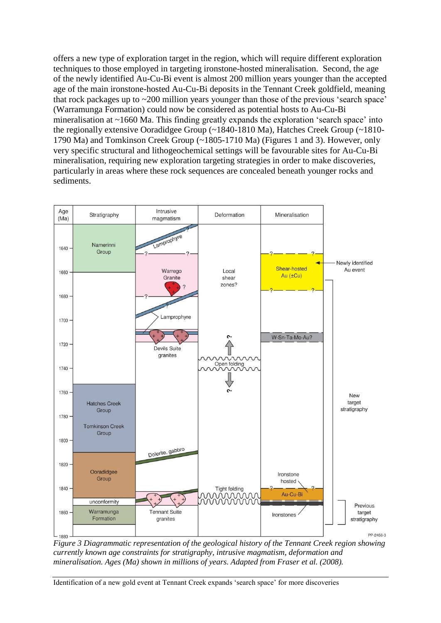offers a new type of exploration target in the region, which will require different exploration techniques to those employed in targeting ironstone-hosted mineralisation. Second, the age of the newly identified Au-Cu-Bi event is almost 200 million years younger than the accepted age of the main ironstone-hosted Au-Cu-Bi deposits in the Tennant Creek goldfield, meaning that rock packages up to ~200 million years younger than those of the previous 'search space' (Warramunga Formation) could now be considered as potential hosts to Au-Cu-Bi mineralisation at ~1660 Ma. This finding greatly expands the exploration 'search space' into the regionally extensive Ooradidgee Group (~1840-1810 Ma), Hatches Creek Group (~1810- 1790 Ma) and Tomkinson Creek Group (~1805-1710 Ma) (Figures 1 and 3). However, only very specific structural and lithogeochemical settings will be favourable sites for Au-Cu-Bi mineralisation, requiring new exploration targeting strategies in order to make discoveries, particularly in areas where these rock sequences are concealed beneath younger rocks and sediments.



*Figure 3 Diagrammatic representation of the geological history of the Tennant Creek region showing currently known age constraints for stratigraphy, intrusive magmatism, deformation and mineralisation. Ages (Ma) shown in millions of years. Adapted from Fraser et al. (2008).*

Identification of a new gold event at Tennant Creek expands 'search space' for more discoveries